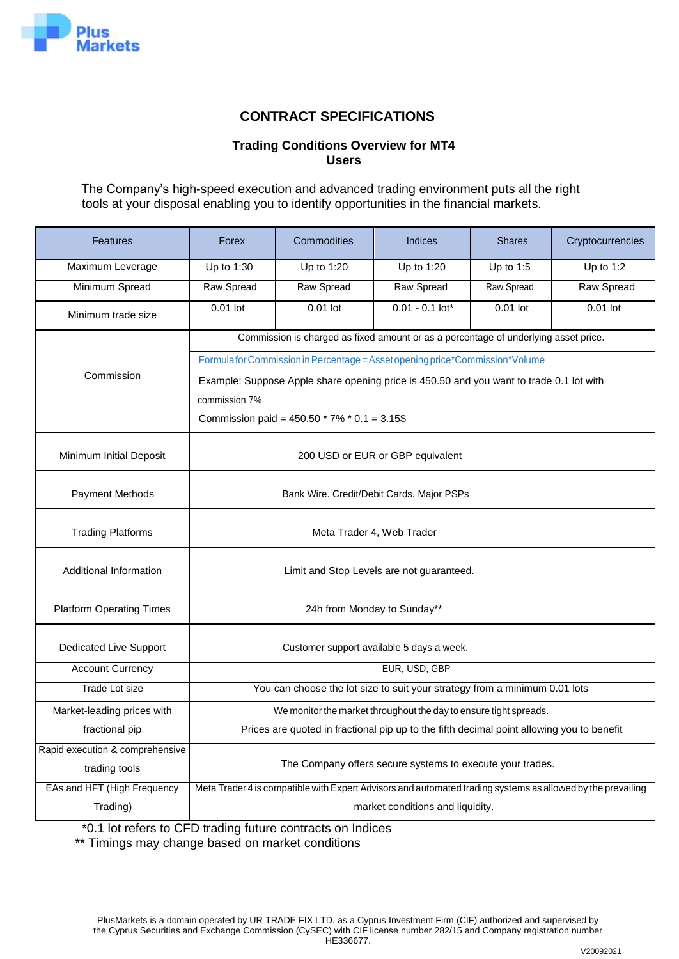

# **CONTRACT SPECIFICATIONS**

## **Trading Conditions Overview for MT4 Users**

The Company's high-speed execution and advanced trading environment puts all the right tools at your disposal enabling you to identify opportunities in the financial markets.

| <b>Features</b>                                  | Forex                                                     | Commodities                                      | <b>Indices</b>                                                                                              | <b>Shares</b> | Cryptocurrencies |  |  |  |  |  |  |  |  |
|--------------------------------------------------|-----------------------------------------------------------|--------------------------------------------------|-------------------------------------------------------------------------------------------------------------|---------------|------------------|--|--|--|--|--|--|--|--|
| Maximum Leverage                                 | Up to 1:30                                                | Up to 1:20                                       | Up to 1:20                                                                                                  | Up to $1:5$   | Up to $1:2$      |  |  |  |  |  |  |  |  |
| Minimum Spread                                   | Raw Spread                                                | Raw Spread                                       | Raw Spread                                                                                                  | Raw Spread    | Raw Spread       |  |  |  |  |  |  |  |  |
| Minimum trade size                               | $0.01$ lot                                                | 0.01 lot                                         | $0.01 - 0.1$ lot*                                                                                           | $0.01$ lot    | 0.01 lot         |  |  |  |  |  |  |  |  |
|                                                  |                                                           |                                                  | Commission is charged as fixed amount or as a percentage of underlying asset price.                         |               |                  |  |  |  |  |  |  |  |  |
|                                                  |                                                           |                                                  | Formula for Commission in Percentage = Asset opening price*Commission*Volume                                |               |                  |  |  |  |  |  |  |  |  |
| Commission                                       |                                                           |                                                  | Example: Suppose Apple share opening price is 450.50 and you want to trade 0.1 lot with                     |               |                  |  |  |  |  |  |  |  |  |
|                                                  | commission 7%                                             |                                                  |                                                                                                             |               |                  |  |  |  |  |  |  |  |  |
|                                                  |                                                           | Commission paid = $450.50 * 7\% * 0.1 = 3.15$ \$ |                                                                                                             |               |                  |  |  |  |  |  |  |  |  |
|                                                  |                                                           |                                                  |                                                                                                             |               |                  |  |  |  |  |  |  |  |  |
| Minimum Initial Deposit                          |                                                           | 200 USD or EUR or GBP equivalent                 |                                                                                                             |               |                  |  |  |  |  |  |  |  |  |
| <b>Payment Methods</b>                           |                                                           | Bank Wire. Credit/Debit Cards. Major PSPs        |                                                                                                             |               |                  |  |  |  |  |  |  |  |  |
|                                                  |                                                           |                                                  |                                                                                                             |               |                  |  |  |  |  |  |  |  |  |
| <b>Trading Platforms</b>                         |                                                           |                                                  | Meta Trader 4, Web Trader                                                                                   |               |                  |  |  |  |  |  |  |  |  |
| Additional Information                           |                                                           |                                                  | Limit and Stop Levels are not guaranteed.                                                                   |               |                  |  |  |  |  |  |  |  |  |
| <b>Platform Operating Times</b>                  |                                                           |                                                  | 24h from Monday to Sunday**                                                                                 |               |                  |  |  |  |  |  |  |  |  |
| Dedicated Live Support                           |                                                           |                                                  | Customer support available 5 days a week.                                                                   |               |                  |  |  |  |  |  |  |  |  |
| <b>Account Currency</b>                          |                                                           |                                                  | EUR, USD, GBP                                                                                               |               |                  |  |  |  |  |  |  |  |  |
| Trade Lot size                                   |                                                           |                                                  | You can choose the lot size to suit your strategy from a minimum 0.01 lots                                  |               |                  |  |  |  |  |  |  |  |  |
| Market-leading prices with                       |                                                           |                                                  | We monitor the market throughout the day to ensure tight spreads.                                           |               |                  |  |  |  |  |  |  |  |  |
| fractional pip                                   |                                                           |                                                  | Prices are quoted in fractional pip up to the fifth decimal point allowing you to benefit                   |               |                  |  |  |  |  |  |  |  |  |
| Rapid execution & comprehensive<br>trading tools | The Company offers secure systems to execute your trades. |                                                  |                                                                                                             |               |                  |  |  |  |  |  |  |  |  |
| EAs and HFT (High Frequency                      |                                                           |                                                  | Meta Trader 4 is compatible with Expert Advisors and automated trading systems as allowed by the prevailing |               |                  |  |  |  |  |  |  |  |  |
| Trading)                                         |                                                           |                                                  | market conditions and liquidity.                                                                            |               |                  |  |  |  |  |  |  |  |  |

\*0.1 lot refers to CFD trading future contracts on Indices

\*\* Timings may change based on market conditions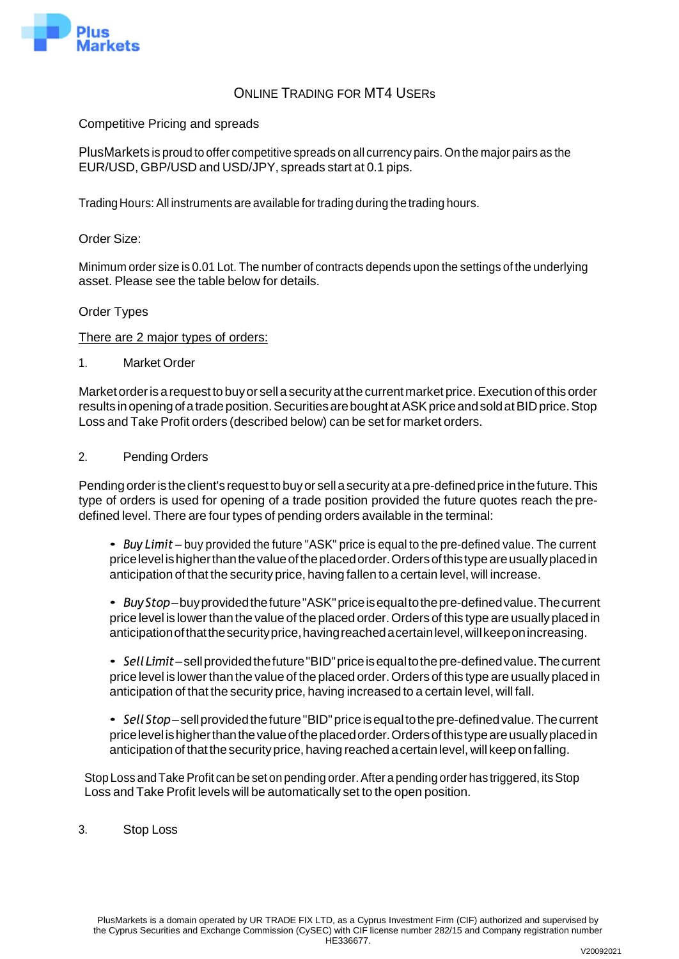

# ONLINE TRADING FOR MT4 USERs

Competitive Pricing and spreads

PlusMarkets is proud to offer competitive spreads on all currency pairs. On the major pairs as the EUR/USD, GBP/USD and USD/JPY, spreads start at 0.1 pips.

Trading Hours: All instruments are available fortrading during the trading hours.

### Order Size:

Minimum order size is 0.01 Lot. The number of contracts depends upon the settings of the underlying asset. Please see the table below for details.

### Order Types

There are 2 major types of orders:

1. Market Order

Market order is a request to buy or sell a security at the current market price. Execution of this order results in opening of a trade position. Securities are bought at ASK price and sold at BID price. Stop Loss and Take Profit orders (described below) can be set for market orders.

### 2. Pending Orders

Pending order is the client's request to buy or sell a security at a pre-defined price in the future. This type of orders is used for opening of a trade position provided the future quotes reach the predefined level. There are four types of pending orders available in the terminal:

- *Buy Limit* buy provided the future "ASK" price is equal to the pre-defined value. The current pricelevel ishigherthanthevalueoftheplacedorder.Ordersofthistypeareusuallyplacedin anticipation of that the security price, having fallen to a certain level, will increase.
- *BuyStop*–buyprovidedthefuture"ASK"priceisequaltothepre-definedvalue.Thecurrent price level is lower than the value of the placed order. Orders of this type are usually placed in anticipationofthatthesecurityprice,havingreachedacertainlevel,willkeeponincreasing.
- *SellLimit*–sellprovidedthefuture"BID"priceisequaltothepre-definedvalue.Thecurrent price level is lower than the value of the placed order. Orders of this type are usually placed in anticipation of that the security price, having increased to a certain level, will fall.
- Sell Stop-sell provided the future "BID" price is equal to the pre-defined value. The current pricelevel ishigherthanthevalueoftheplacedorder.Ordersofthistypeareusuallyplacedin anticipation of that the security price, having reached a certain level, will keep on falling.

Stop Loss and Take Profit can be set on pending order. After a pending order has triggered, its Stop Loss and Take Profit levels will be automatically set to the open position.

3. Stop Loss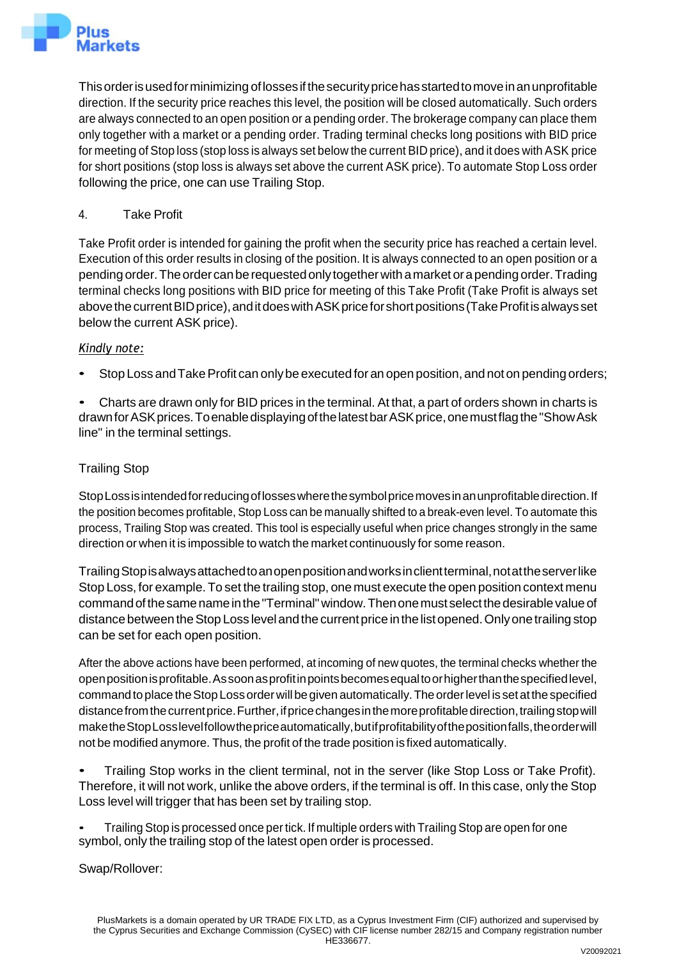

Thisorderisusedforminimizing oflossesifthesecuritypricehasstartedtomoveinanunprofitable direction. If the security price reaches this level, the position will be closed automatically. Such orders are always connected to an open position or a pending order. The brokerage company can place them only together with a market or a pending order. Trading terminal checks long positions with BID price for meeting of Stop loss (stop loss is always set below the current BID price), and it does with ASK price for short positions (stop loss is always set above the current ASK price). To automate Stop Loss order following the price, one can use Trailing Stop.

## 4. Take Profit

Take Profit order is intended for gaining the profit when the security price has reached a certain level. Execution of this order results in closing of the position. It is always connected to an open position or a pending order.Theorder canberequestedonlytogetherwith amarket orapending order.Trading terminal checks long positions with BID price for meeting of this Take Profit (Take Profit is always set above the current BID price), and it does with ASK price for short positions (Take Profit is always set below the current ASK price).

## *Kindly note:*

Stop Loss and Take Profit can only be executed for an open position, and not on pending orders;

• Charts are drawn only for BID prices in the terminal. At that, a part of orders shown in charts is drawn for ASK prices. To enable displaying of the latest bar ASK price, one must flag the "Show Ask line" in the terminal settings.

## Trailing Stop

StopLossisintendedforreducingoflosseswherethesymbolpricemovesinanunprofitabledirection.If the position becomes profitable, Stop Loss can be manually shifted to a break-even level. To automate this process, Trailing Stop was created. This tool is especially useful when price changes strongly in the same direction or when it is impossible to watch the market continuously for some reason.

TrailingStopisalwaysattachedtoanopenpositionandworksinclientterminal,notattheserverlike Stop Loss, for example. To set the trailing stop, one must execute the open position context menu commandofthesamenameinthe"Terminal"window.Thenonemust selectthedesirable valueof distance between the Stop Loss level and the current price in the list opened. Only one trailing stop can be set for each open position.

After the above actions have been performed, at incoming of new quotes, the terminal checks whether the openpositionisprofitable.Assoonasprofitinpointsbecomesequaltoorhigherthanthespecifiedlevel, command to place the Stop Loss order will be given automatically. The order level is set at the specified distance from the current price. Further, if price changes in the more profitable direction, trailing stop will maketheStopLosslevelfollowthepriceautomatically,butifprofitabilityofthepositionfalls,theorderwill not be modified anymore. Thus, the profit of the trade position is fixed automatically.

• Trailing Stop works in the client terminal, not in the server (like Stop Loss or Take Profit). Therefore, it will not work, unlike the above orders, if the terminal is off. In this case, only the Stop Loss level will trigger that has been set by trailing stop.

• Trailing Stop is processed once pertick. If multiple orders with Trailing Stop are open for one symbol, only the trailing stop of the latest open order is processed.

Swap/Rollover: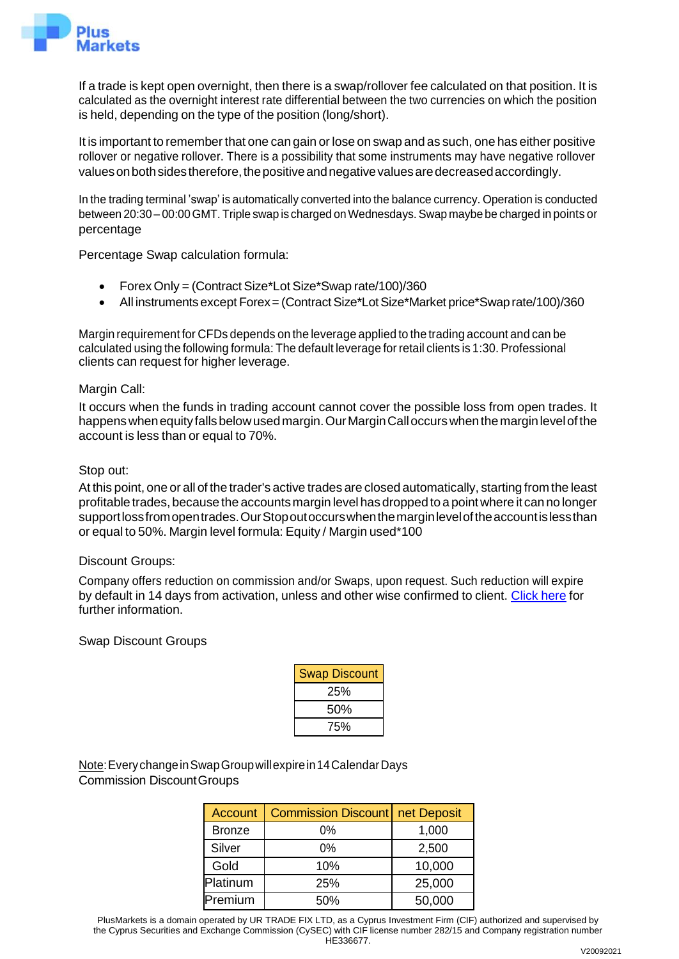

If a trade is kept open overnight, then there is a swap/rollover fee calculated on that position. It is calculated as the overnight interest rate differential between the two currencies on which the position is held, depending on the type of the position (long/short).

It is important to remember that one can gain or lose on swap and as such, one has either positive rollover or negative rollover. There is a possibility that some instruments may have negative rollover valuesonbothsidestherefore,thepositiveandnegativevaluesaredecreasedaccordingly.

In the trading terminal 'swap' is automatically converted into the balance currency. Operation is conducted between 20:30 – 00:00GMT. Triple swap is charged onWednesdays. Swap maybe be charged in points or percentage

Percentage Swap calculation formula:

- Forex Only = (Contract Size\*Lot Size\*Swap rate/100)/360
- All instruments except Forex = (Contract Size\*Lot Size\*Market price\*Swap rate/100)/360

Margin requirement for CFDs depends on the leverage applied to the trading account and can be calculated using the following formula: The default leverage forretail clients is 1:30. Professional clients can request for higher leverage.

### Margin Call:

It occurs when the funds in trading account cannot cover the possible loss from open trades. It happens when equity falls below used margin. Our Margin Call occurs when the margin level of the account is less than or equal to 70%.

### Stop out:

At this point, one or all of the trader's active trades are closed automatically, starting from the least profitable trades, because the accountsmargin levelhas dropped to a pointwhere it canno longer supportlossfromopentrades.OurStopoutoccurswhenthemarginleveloftheaccountislessthan or equal to 50%. Margin level formula: Equity / Margin used\*100

#### Discount Groups:

Company offers reduction on commission and/or Swaps, upon request. Such reduction will expire by default in 14 days from activation, unless and other wise confirmed to client. [Click](https://tradeo.com/about/account-types/) here for further information.

### Swap Discount Groups

| <b>Swap Discount</b> |  |
|----------------------|--|
| 25%                  |  |
| 50%                  |  |
| 75%                  |  |

Note:EverychangeinSwapGroupwillexpirein14CalendarDays Commission DiscountGroups

| <b>Account</b> | <b>Commission Discount net Deposit</b> |        |
|----------------|----------------------------------------|--------|
| <b>Bronze</b>  | 0%                                     | 1,000  |
| Silver         | $0\%$                                  | 2,500  |
| Gold           | 10%                                    | 10,000 |
| Platinum       | 25%                                    | 25,000 |
| Premium        | 50%                                    | 50,000 |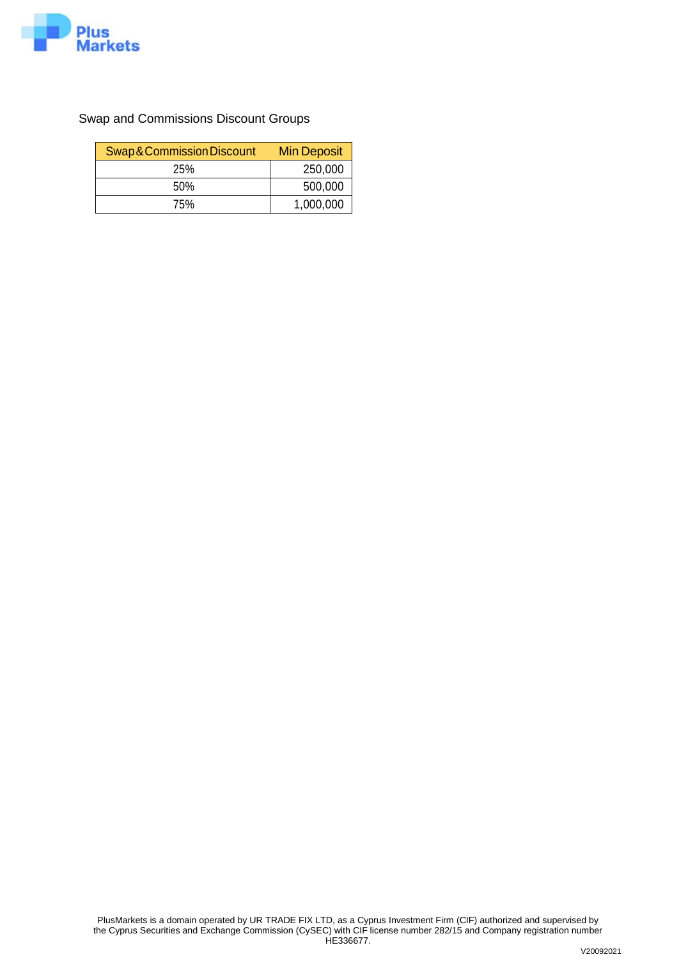

Swap and Commissions Discount Groups

| Swap & Commission Discount | <b>Min Deposit</b> |
|----------------------------|--------------------|
| <b>25%</b>                 | 250,000            |
| 50%                        | 500,000            |
| 75%                        | 1,000,000          |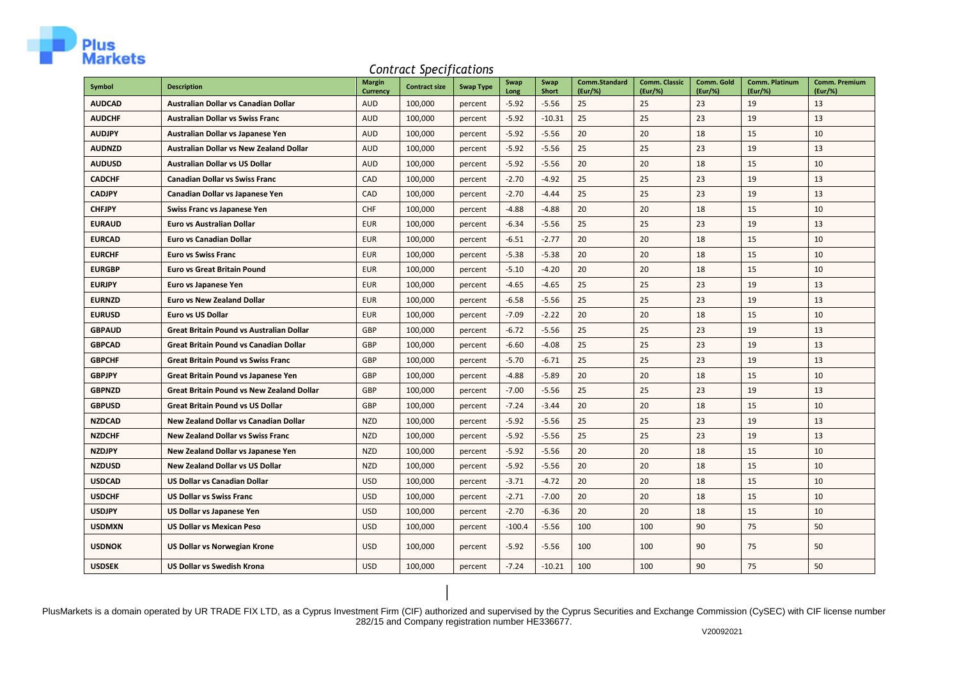

#### *Contract Specifications*

| Symbol        | <b>Description</b>                               | <b>Margin</b><br><b>Currency</b> | <b>Contract size</b> | <b>Swap Type</b> | Swap<br>Long | Swap<br><b>Short</b> | <b>Comm.Standard</b><br>$(Eur/\%)$ | Comm. Classic<br>(Eur/%) | Comm. Gold<br>(Eur/%) | Comm. Platinum<br>(Eur/%) | <b>Comm. Premium</b><br>(Eur/%) |
|---------------|--------------------------------------------------|----------------------------------|----------------------|------------------|--------------|----------------------|------------------------------------|--------------------------|-----------------------|---------------------------|---------------------------------|
| <b>AUDCAD</b> | Australian Dollar vs Canadian Dollar             | <b>AUD</b>                       | 100,000              | percent          | $-5.92$      | $-5.56$              | 25                                 | 25                       | 23                    | 19                        | 13                              |
| <b>AUDCHF</b> | <b>Australian Dollar vs Swiss Franc</b>          | <b>AUD</b>                       | 100,000              | percent          | $-5.92$      | $-10.31$             | 25                                 | 25                       | 23                    | 19                        | 13                              |
| <b>AUDJPY</b> | Australian Dollar vs Japanese Yen                | <b>AUD</b>                       | 100,000              | percent          | $-5.92$      | $-5.56$              | 20                                 | 20                       | 18                    | 15                        | 10                              |
| <b>AUDNZD</b> | Australian Dollar vs New Zealand Dollar          | <b>AUD</b>                       | 100,000              | percent          | $-5.92$      | $-5.56$              | 25                                 | 25                       | 23                    | 19                        | 13                              |
| <b>AUDUSD</b> | <b>Australian Dollar vs US Dollar</b>            | <b>AUD</b>                       | 100,000              | percent          | $-5.92$      | $-5.56$              | 20                                 | 20                       | 18                    | 15                        | 10                              |
| <b>CADCHF</b> | <b>Canadian Dollar vs Swiss Franc</b>            | CAD                              | 100,000              | percent          | $-2.70$      | $-4.92$              | 25                                 | 25                       | 23                    | 19                        | 13                              |
| <b>CADJPY</b> | Canadian Dollar vs Japanese Yen                  | CAD                              | 100,000              | percent          | $-2.70$      | $-4.44$              | 25                                 | 25                       | 23                    | 19                        | 13                              |
| <b>CHFJPY</b> | Swiss Franc vs Japanese Yen                      | CHF                              | 100,000              | percent          | $-4.88$      | $-4.88$              | 20                                 | 20                       | 18                    | 15                        | 10                              |
| <b>EURAUD</b> | <b>Euro vs Australian Dollar</b>                 | <b>EUR</b>                       | 100,000              | percent          | $-6.34$      | $-5.56$              | 25                                 | 25                       | 23                    | 19                        | 13                              |
| <b>EURCAD</b> | <b>Euro vs Canadian Dollar</b>                   | <b>EUR</b>                       | 100,000              | percent          | $-6.51$      | $-2.77$              | 20                                 | 20                       | 18                    | 15                        | 10                              |
| <b>EURCHF</b> | <b>Euro vs Swiss Franc</b>                       | <b>EUR</b>                       | 100,000              | percent          | $-5.38$      | $-5.38$              | 20                                 | 20                       | 18                    | 15                        | 10                              |
| <b>EURGBP</b> | <b>Euro vs Great Britain Pound</b>               | <b>EUR</b>                       | 100,000              | percent          | $-5.10$      | $-4.20$              | 20                                 | 20                       | 18                    | 15                        | 10                              |
| <b>EURJPY</b> | Euro vs Japanese Yen                             | <b>EUR</b>                       | 100,000              | percent          | $-4.65$      | $-4.65$              | 25                                 | 25                       | 23                    | 19                        | 13                              |
| <b>EURNZD</b> | <b>Euro vs New Zealand Dollar</b>                | <b>EUR</b>                       | 100,000              | percent          | $-6.58$      | $-5.56$              | 25                                 | 25                       | 23                    | 19                        | 13                              |
| <b>EURUSD</b> | <b>Euro vs US Dollar</b>                         | <b>EUR</b>                       | 100,000              | percent          | $-7.09$      | $-2.22$              | 20                                 | 20                       | 18                    | 15                        | 10                              |
| <b>GBPAUD</b> | Great Britain Pound vs Australian Dollar         | <b>GBP</b>                       | 100,000              | percent          | $-6.72$      | $-5.56$              | 25                                 | 25                       | 23                    | 19                        | 13                              |
| <b>GBPCAD</b> | <b>Great Britain Pound vs Canadian Dollar</b>    | GBP                              | 100,000              | percent          | $-6.60$      | $-4.08$              | 25                                 | 25                       | 23                    | 19                        | 13                              |
| <b>GBPCHF</b> | <b>Great Britain Pound vs Swiss Franc</b>        | GBP                              | 100,000              | percent          | $-5.70$      | $-6.71$              | 25                                 | 25                       | 23                    | 19                        | 13                              |
| <b>GBPJPY</b> | Great Britain Pound vs Japanese Yen              | GBP                              | 100,000              | percent          | $-4.88$      | $-5.89$              | 20                                 | 20                       | 18                    | 15                        | 10                              |
| <b>GBPNZD</b> | <b>Great Britain Pound vs New Zealand Dollar</b> | <b>GBP</b>                       | 100,000              | percent          | $-7.00$      | $-5.56$              | 25                                 | 25                       | 23                    | 19                        | 13                              |
| <b>GBPUSD</b> | <b>Great Britain Pound vs US Dollar</b>          | GBP                              | 100,000              | percent          | $-7.24$      | $-3.44$              | 20                                 | 20                       | 18                    | 15                        | 10                              |
| <b>NZDCAD</b> | New Zealand Dollar vs Canadian Dollar            | <b>NZD</b>                       | 100,000              | percent          | $-5.92$      | $-5.56$              | 25                                 | 25                       | 23                    | 19                        | 13                              |
| <b>NZDCHF</b> | <b>New Zealand Dollar vs Swiss Franc</b>         | <b>NZD</b>                       | 100,000              | percent          | $-5.92$      | $-5.56$              | 25                                 | 25                       | 23                    | 19                        | 13                              |
| <b>NZDJPY</b> | New Zealand Dollar vs Japanese Yen               | <b>NZD</b>                       | 100,000              | percent          | $-5.92$      | $-5.56$              | 20                                 | 20                       | 18                    | 15                        | 10                              |
| <b>NZDUSD</b> | <b>New Zealand Dollar vs US Dollar</b>           | <b>NZD</b>                       | 100,000              | percent          | $-5.92$      | $-5.56$              | 20                                 | 20                       | 18                    | 15                        | 10                              |
| <b>USDCAD</b> | <b>US Dollar vs Canadian Dollar</b>              | <b>USD</b>                       | 100,000              | percent          | $-3.71$      | $-4.72$              | 20                                 | 20                       | 18                    | 15                        | 10                              |
| <b>USDCHF</b> | <b>US Dollar vs Swiss Franc</b>                  | <b>USD</b>                       | 100,000              | percent          | $-2.71$      | $-7.00$              | 20                                 | 20                       | 18                    | 15                        | 10                              |
| <b>USDJPY</b> | US Dollar vs Japanese Yen                        | <b>USD</b>                       | 100,000              | percent          | $-2.70$      | $-6.36$              | 20                                 | 20                       | 18                    | 15                        | 10                              |
| <b>USDMXN</b> | <b>US Dollar vs Mexican Peso</b>                 | <b>USD</b>                       | 100,000              | percent          | $-100.4$     | $-5.56$              | 100                                | 100                      | 90                    | 75                        | 50                              |
| <b>USDNOK</b> | <b>US Dollar vs Norwegian Krone</b>              | <b>USD</b>                       | 100,000              | percent          | $-5.92$      | $-5.56$              | 100                                | 100                      | 90                    | 75                        | 50                              |
| <b>USDSEK</b> | <b>US Dollar vs Swedish Krona</b>                | <b>USD</b>                       | 100,000              | percent          | $-7.24$      | $-10.21$             | 100                                | 100                      | 90                    | 75                        | 50                              |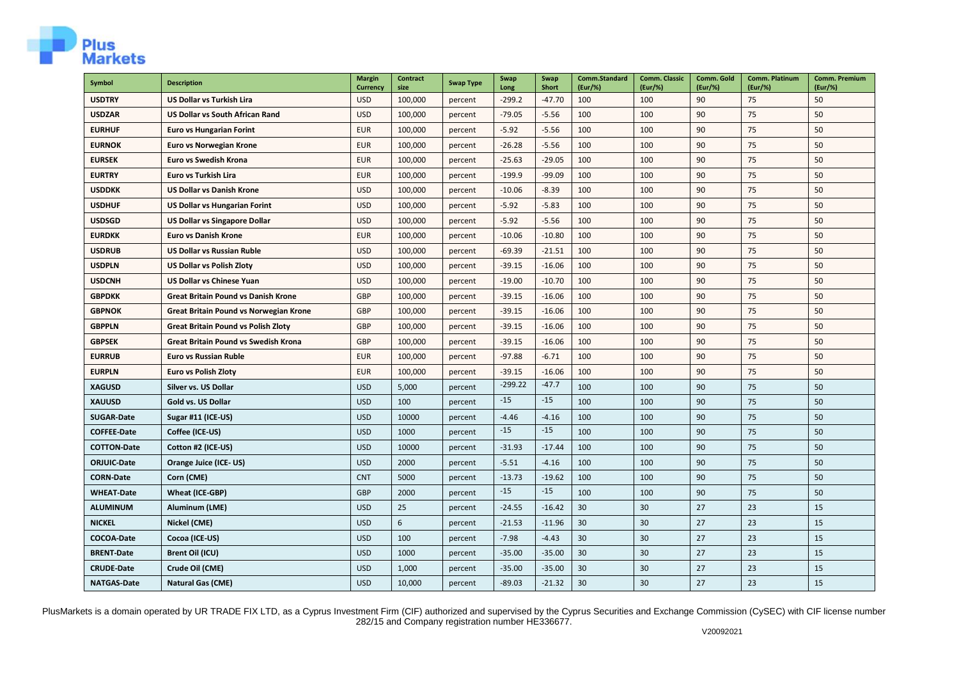

| Symbol             | <b>Description</b>                          | <b>Margin</b><br>Currency | Contract<br>size | <b>Swap Type</b> | Swap<br>Long | Swap<br>Short | <b>Comm.Standard</b><br>(Eur/%) | <b>Comm. Classic</b><br>(Eur/%) | Comm. Gold<br>(Eur/%) | Comm. Platinum<br>(Eur/%) | <b>Comm. Premium</b><br>(Eur/%) |
|--------------------|---------------------------------------------|---------------------------|------------------|------------------|--------------|---------------|---------------------------------|---------------------------------|-----------------------|---------------------------|---------------------------------|
| <b>USDTRY</b>      | <b>US Dollar vs Turkish Lira</b>            | <b>USD</b>                | 100,000          | percent          | $-299.2$     | $-47.70$      | 100                             | 100                             | 90                    | 75                        | 50                              |
| <b>USDZAR</b>      | <b>US Dollar vs South African Rand</b>      | <b>USD</b>                | 100,000          | percent          | $-79.05$     | $-5.56$       | 100                             | 100                             | 90                    | 75                        | 50                              |
| <b>EURHUF</b>      | <b>Euro vs Hungarian Forint</b>             | <b>EUR</b>                | 100,000          | percent          | $-5.92$      | $-5.56$       | 100                             | 100                             | 90                    | 75                        | 50                              |
| <b>EURNOK</b>      | Euro vs Norwegian Krone                     | <b>EUR</b>                | 100,000          | percent          | $-26.28$     | $-5.56$       | 100                             | 100                             | 90                    | 75                        | 50                              |
| <b>EURSEK</b>      | <b>Euro vs Swedish Krona</b>                | <b>EUR</b>                | 100,000          | percent          | $-25.63$     | $-29.05$      | 100                             | 100                             | 90                    | 75                        | 50                              |
| <b>EURTRY</b>      | Euro vs Turkish Lira                        | <b>EUR</b>                | 100,000          | percent          | $-199.9$     | $-99.09$      | 100                             | 100                             | 90                    | 75                        | 50                              |
| <b>USDDKK</b>      | <b>US Dollar vs Danish Krone</b>            | <b>USD</b>                | 100,000          | percent          | $-10.06$     | $-8.39$       | 100                             | 100                             | 90                    | 75                        | 50                              |
| <b>USDHUF</b>      | <b>US Dollar vs Hungarian Forint</b>        | <b>USD</b>                | 100,000          | percent          | $-5.92$      | $-5.83$       | 100                             | 100                             | 90                    | 75                        | 50                              |
| <b>USDSGD</b>      | <b>US Dollar vs Singapore Dollar</b>        | <b>USD</b>                | 100,000          | percent          | $-5.92$      | $-5.56$       | 100                             | 100                             | 90                    | 75                        | 50                              |
| <b>EURDKK</b>      | <b>Euro vs Danish Krone</b>                 | <b>EUR</b>                | 100,000          | percent          | $-10.06$     | $-10.80$      | 100                             | 100                             | 90                    | 75                        | 50                              |
| <b>USDRUB</b>      | <b>US Dollar vs Russian Ruble</b>           | <b>USD</b>                | 100,000          | percent          | $-69.39$     | $-21.51$      | 100                             | 100                             | 90                    | 75                        | 50                              |
| <b>USDPLN</b>      | <b>US Dollar vs Polish Zloty</b>            | <b>USD</b>                | 100,000          | percent          | $-39.15$     | $-16.06$      | 100                             | 100                             | 90                    | 75                        | 50                              |
| <b>USDCNH</b>      | <b>US Dollar vs Chinese Yuan</b>            | <b>USD</b>                | 100,000          | percent          | $-19.00$     | $-10.70$      | 100                             | 100                             | 90                    | 75                        | 50                              |
| <b>GBPDKK</b>      | <b>Great Britain Pound vs Danish Krone</b>  | GBP                       | 100,000          | percent          | $-39.15$     | $-16.06$      | 100                             | 100                             | 90                    | 75                        | 50                              |
| <b>GBPNOK</b>      | Great Britain Pound vs Norwegian Krone      | <b>GBP</b>                | 100,000          | percent          | $-39.15$     | $-16.06$      | 100                             | 100                             | 90                    | 75                        | 50                              |
| <b>GBPPLN</b>      | <b>Great Britain Pound vs Polish Zloty</b>  | <b>GBP</b>                | 100,000          | percent          | $-39.15$     | $-16.06$      | 100                             | 100                             | 90                    | 75                        | 50                              |
| <b>GBPSEK</b>      | <b>Great Britain Pound vs Swedish Krona</b> | GBP                       | 100,000          | percent          | $-39.15$     | $-16.06$      | 100                             | 100                             | 90                    | 75                        | 50                              |
| <b>EURRUB</b>      | <b>Euro vs Russian Ruble</b>                | <b>EUR</b>                | 100,000          | percent          | $-97.88$     | $-6.71$       | 100                             | 100                             | 90                    | 75                        | 50                              |
| <b>EURPLN</b>      | <b>Euro vs Polish Zloty</b>                 | <b>EUR</b>                | 100,000          | percent          | $-39.15$     | $-16.06$      | 100                             | 100                             | 90                    | 75                        | 50                              |
| <b>XAGUSD</b>      | Silver vs. US Dollar                        | <b>USD</b>                | 5,000            | percent          | $-299.22$    | $-47.7$       | 100                             | 100                             | 90                    | 75                        | 50                              |
| <b>XAUUSD</b>      | Gold vs. US Dollar                          | <b>USD</b>                | 100              | percent          | $-15$        | $-15$         | 100                             | 100                             | 90                    | 75                        | 50                              |
| <b>SUGAR-Date</b>  | Sugar #11 (ICE-US)                          | <b>USD</b>                | 10000            | percent          | $-4.46$      | $-4.16$       | 100                             | 100                             | 90                    | 75                        | 50                              |
| <b>COFFEE-Date</b> | Coffee (ICE-US)                             | <b>USD</b>                | 1000             | percent          | $-15$        | $-15$         | 100                             | 100                             | 90                    | 75                        | 50                              |
| <b>COTTON-Date</b> | Cotton #2 (ICE-US)                          | <b>USD</b>                | 10000            | percent          | $-31.93$     | $-17.44$      | 100                             | 100                             | 90                    | 75                        | 50                              |
| <b>ORJUIC-Date</b> | Orange Juice (ICE-US)                       | <b>USD</b>                | 2000             | percent          | $-5.51$      | $-4.16$       | 100                             | 100                             | 90                    | 75                        | 50                              |
| <b>CORN-Date</b>   | Corn (CME)                                  | <b>CNT</b>                | 5000             | percent          | $-13.73$     | $-19.62$      | 100                             | 100                             | 90                    | 75                        | 50                              |
| <b>WHEAT-Date</b>  | Wheat (ICE-GBP)                             | GBP                       | 2000             | percent          | $-15$        | $-15$         | 100                             | 100                             | 90                    | 75                        | 50                              |
| <b>ALUMINUM</b>    | Aluminum (LME)                              | <b>USD</b>                | 25               | percent          | $-24.55$     | $-16.42$      | 30                              | 30                              | 27                    | 23                        | 15                              |
| <b>NICKEL</b>      | Nickel (CME)                                | <b>USD</b>                | 6                | percent          | $-21.53$     | $-11.96$      | 30                              | 30                              | 27                    | 23                        | 15                              |
| COCOA-Date         | Cocoa (ICE-US)                              | <b>USD</b>                | 100              | percent          | $-7.98$      | $-4.43$       | 30                              | 30                              | 27                    | 23                        | 15                              |
| <b>BRENT-Date</b>  | Brent Oil (ICU)                             | <b>USD</b>                | 1000             | percent          | $-35.00$     | $-35.00$      | 30                              | 30                              | 27                    | 23                        | 15                              |
| <b>CRUDE-Date</b>  | Crude Oil (CME)                             | <b>USD</b>                | 1,000            | percent          | $-35.00$     | $-35.00$      | 30                              | 30                              | 27                    | 23                        | 15                              |
| <b>NATGAS-Date</b> | <b>Natural Gas (CME)</b>                    | <b>USD</b>                | 10,000           | percent          | $-89.03$     | $-21.32$      | 30                              | 30                              | 27                    | 23                        | 15                              |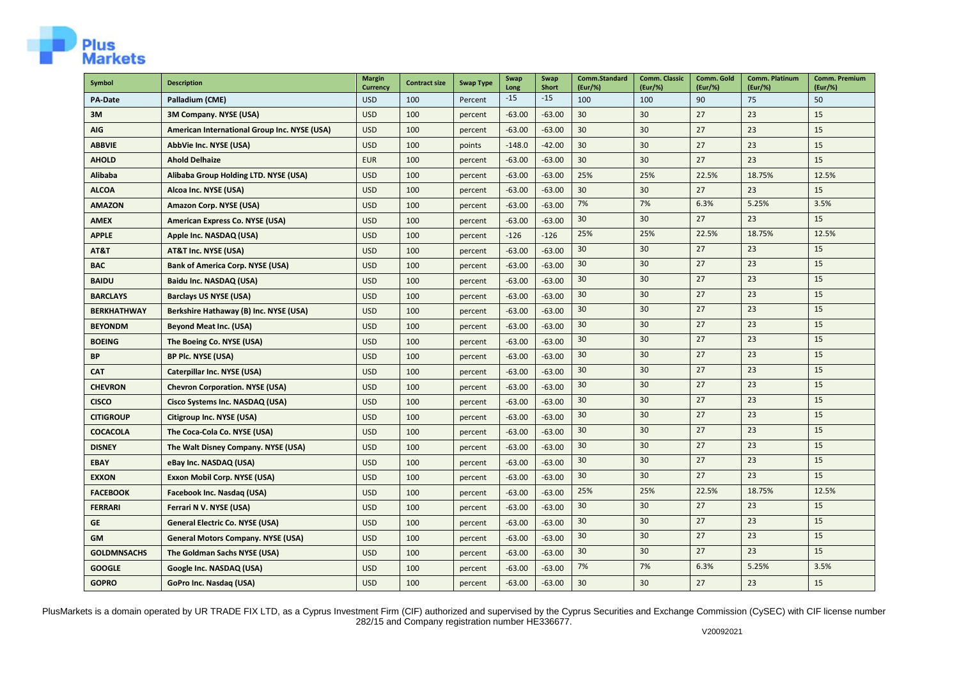

| Symbol             | <b>Description</b>                           | <b>Margin</b><br><b>Currency</b> | <b>Contract size</b> | <b>Swap Type</b> | Swap<br>Long | <b>Swap</b><br><b>Short</b> | Comm.Standard<br>(Eur/%) | <b>Comm. Classic</b><br>(Eur/%) | Comm. Gold<br>(Eur/%) | <b>Comm. Platinum</b><br>(Eur/%) | <b>Comm. Premium</b><br>(Eur/%) |
|--------------------|----------------------------------------------|----------------------------------|----------------------|------------------|--------------|-----------------------------|--------------------------|---------------------------------|-----------------------|----------------------------------|---------------------------------|
| <b>PA-Date</b>     | Palladium (CME)                              | <b>USD</b>                       | 100                  | Percent          | $-15$        | $-15$                       | 100                      | 100                             | 90                    | 75                               | 50                              |
| 3M                 | 3M Company. NYSE (USA)                       | <b>USD</b>                       | 100                  | percent          | $-63.00$     | $-63.00$                    | 30                       | 30                              | 27                    | 23                               | 15                              |
| AIG                | American International Group Inc. NYSE (USA) | <b>USD</b>                       | 100                  | percent          | $-63.00$     | $-63.00$                    | 30                       | 30                              | 27                    | 23                               | 15                              |
| <b>ABBVIE</b>      | AbbVie Inc. NYSE (USA)                       | <b>USD</b>                       | 100                  | points           | $-148.0$     | $-42.00$                    | 30                       | 30                              | 27                    | 23                               | 15                              |
| <b>AHOLD</b>       | <b>Ahold Delhaize</b>                        | <b>EUR</b>                       | 100                  | percent          | $-63.00$     | $-63.00$                    | 30                       | 30                              | 27                    | 23                               | 15                              |
| <b>Alibaba</b>     | Alibaba Group Holding LTD. NYSE (USA)        | <b>USD</b>                       | 100                  | percent          | $-63.00$     | $-63.00$                    | 25%                      | 25%                             | 22.5%                 | 18.75%                           | 12.5%                           |
| <b>ALCOA</b>       | Alcoa Inc. NYSE (USA)                        | <b>USD</b>                       | 100                  | percent          | $-63.00$     | $-63.00$                    | 30                       | 30                              | 27                    | 23                               | 15                              |
| <b>AMAZON</b>      | Amazon Corp. NYSE (USA)                      | <b>USD</b>                       | 100                  | percent          | $-63.00$     | $-63.00$                    | 7%                       | 7%                              | 6.3%                  | 5.25%                            | 3.5%                            |
| <b>AMEX</b>        | American Express Co. NYSE (USA)              | <b>USD</b>                       | 100                  | percent          | $-63.00$     | $-63.00$                    | 30                       | 30                              | 27                    | 23                               | 15                              |
| <b>APPLE</b>       | Apple Inc. NASDAQ (USA)                      | <b>USD</b>                       | 100                  | percent          | $-126$       | $-126$                      | 25%                      | 25%                             | 22.5%                 | 18.75%                           | 12.5%                           |
| AT&T               | AT&T Inc. NYSE (USA)                         | <b>USD</b>                       | 100                  | percent          | $-63.00$     | $-63.00$                    | 30                       | 30                              | 27                    | 23                               | 15                              |
| <b>BAC</b>         | <b>Bank of America Corp. NYSE (USA)</b>      | <b>USD</b>                       | 100                  | percent          | $-63.00$     | $-63.00$                    | 30 <sup>°</sup>          | 30                              | 27                    | 23                               | 15                              |
| <b>BAIDU</b>       | Baidu Inc. NASDAQ (USA)                      | <b>USD</b>                       | 100                  | percent          | $-63.00$     | $-63.00$                    | 30                       | 30                              | 27                    | 23                               | 15                              |
| <b>BARCLAYS</b>    | <b>Barclays US NYSE (USA)</b>                | <b>USD</b>                       | 100                  | percent          | $-63.00$     | $-63.00$                    | 30                       | 30                              | 27                    | 23                               | 15                              |
| <b>BERKHATHWAY</b> | Berkshire Hathaway (B) Inc. NYSE (USA)       | <b>USD</b>                       | 100                  | percent          | $-63.00$     | $-63.00$                    | 30                       | 30                              | 27                    | 23                               | 15                              |
| <b>BEYONDM</b>     | <b>Beyond Meat Inc. (USA)</b>                | <b>USD</b>                       | 100                  | percent          | $-63.00$     | $-63.00$                    | 30                       | 30                              | 27                    | 23                               | 15                              |
| <b>BOEING</b>      | The Boeing Co. NYSE (USA)                    | <b>USD</b>                       | 100                  | percent          | $-63.00$     | $-63.00$                    | 30                       | 30                              | 27                    | 23                               | 15                              |
| <b>BP</b>          | <b>BP Plc. NYSE (USA)</b>                    | <b>USD</b>                       | 100                  | percent          | $-63.00$     | $-63.00$                    | 30                       | 30                              | 27                    | 23                               | 15                              |
| <b>CAT</b>         | Caterpillar Inc. NYSE (USA)                  | <b>USD</b>                       | 100                  | percent          | $-63.00$     | $-63.00$                    | 30                       | 30                              | 27                    | 23                               | 15                              |
| <b>CHEVRON</b>     | <b>Chevron Corporation. NYSE (USA)</b>       | <b>USD</b>                       | 100                  | percent          | $-63.00$     | $-63.00$                    | 30                       | 30                              | 27                    | 23                               | 15                              |
| <b>CISCO</b>       | Cisco Systems Inc. NASDAQ (USA)              | <b>USD</b>                       | 100                  | percent          | $-63.00$     | $-63.00$                    | 30                       | 30                              | 27                    | 23                               | 15                              |
| <b>CITIGROUP</b>   | Citigroup Inc. NYSE (USA)                    | <b>USD</b>                       | 100                  | percent          | $-63.00$     | $-63.00$                    | 30                       | 30                              | 27                    | 23                               | 15                              |
| <b>COCACOLA</b>    | The Coca-Cola Co. NYSE (USA)                 | <b>USD</b>                       | 100                  | percent          | $-63.00$     | $-63.00$                    | 30                       | 30                              | 27                    | 23                               | 15                              |
| <b>DISNEY</b>      | The Walt Disney Company. NYSE (USA)          | <b>USD</b>                       | 100                  | percent          | $-63.00$     | $-63.00$                    | 30 <sup>°</sup>          | 30                              | 27                    | 23                               | 15                              |
| <b>EBAY</b>        | eBay Inc. NASDAQ (USA)                       | <b>USD</b>                       | 100                  | percent          | $-63.00$     | $-63.00$                    | 30                       | 30                              | 27                    | 23                               | 15                              |
| <b>EXXON</b>       | Exxon Mobil Corp. NYSE (USA)                 | <b>USD</b>                       | 100                  | percent          | $-63.00$     | $-63.00$                    | 30                       | 30                              | 27                    | 23                               | 15                              |
| <b>FACEBOOK</b>    | Facebook Inc. Nasdaq (USA)                   | <b>USD</b>                       | 100                  | percent          | $-63.00$     | $-63.00$                    | 25%                      | 25%                             | 22.5%                 | 18.75%                           | 12.5%                           |
| <b>FERRARI</b>     | Ferrari N V. NYSE (USA)                      | <b>USD</b>                       | 100                  | percent          | $-63.00$     | $-63.00$                    | 30                       | 30                              | 27                    | 23                               | 15                              |
| <b>GE</b>          | General Electric Co. NYSE (USA)              | <b>USD</b>                       | 100                  | percent          | $-63.00$     | $-63.00$                    | 30                       | 30                              | 27                    | 23                               | 15                              |
| <b>GM</b>          | <b>General Motors Company. NYSE (USA)</b>    | <b>USD</b>                       | 100                  | percent          | $-63.00$     | $-63.00$                    | 30                       | 30                              | 27                    | 23                               | 15                              |
| <b>GOLDMNSACHS</b> | The Goldman Sachs NYSE (USA)                 | <b>USD</b>                       | 100                  | percent          | $-63.00$     | $-63.00$                    | 30 <sup>°</sup>          | 30                              | 27                    | 23                               | 15                              |
| <b>GOOGLE</b>      | Google Inc. NASDAQ (USA)                     | <b>USD</b>                       | 100                  | percent          | $-63.00$     | $-63.00$                    | 7%                       | 7%                              | 6.3%                  | 5.25%                            | 3.5%                            |
| <b>GOPRO</b>       | GoPro Inc. Nasdag (USA)                      | <b>USD</b>                       | 100                  | percent          | $-63.00$     | $-63.00$                    | 30 <sup>°</sup>          | 30                              | 27                    | 23                               | 15                              |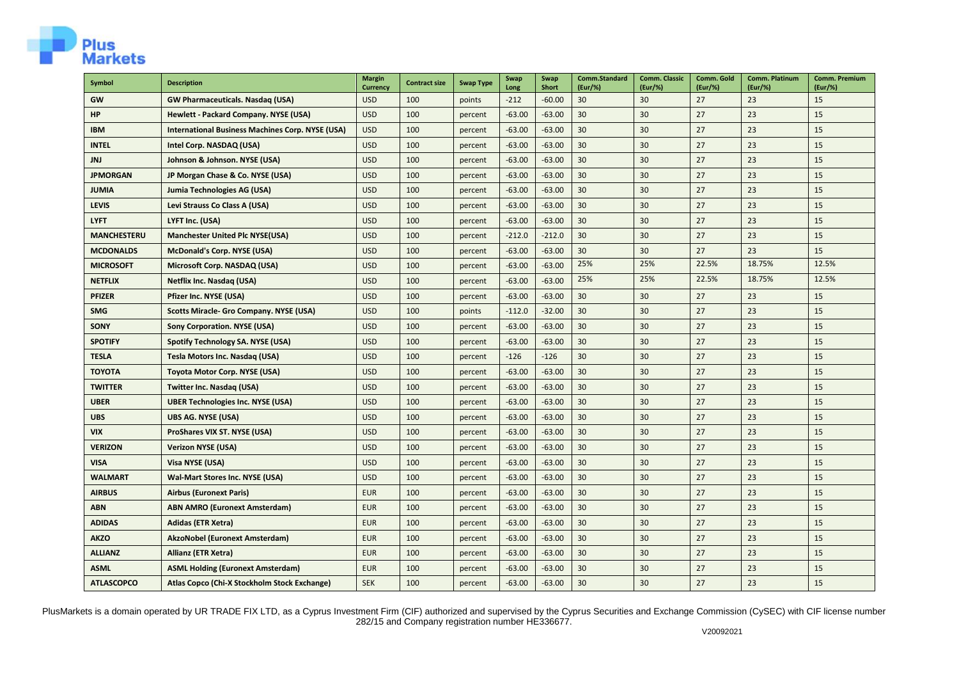

| Symbol             | <b>Description</b>                                      | <b>Margin</b><br><b>Currency</b> | <b>Contract size</b> | <b>Swap Type</b> | Swap<br>Long | Swap<br><b>Short</b> | Comm.Standard<br>(Eur/%) | <b>Comm. Classic</b><br>(Eur/%) | Comm. Gold<br>(Eur/%) | Comm. Platinum<br>(Eur/%) | <b>Comm. Premium</b><br>(Eur/%) |
|--------------------|---------------------------------------------------------|----------------------------------|----------------------|------------------|--------------|----------------------|--------------------------|---------------------------------|-----------------------|---------------------------|---------------------------------|
| GW                 | <b>GW Pharmaceuticals. Nasdag (USA)</b>                 | <b>USD</b>                       | 100                  | points           | $-212$       | $-60.00$             | 30                       | 30                              | 27                    | 23                        | 15                              |
| <b>HP</b>          | Hewlett - Packard Company. NYSE (USA)                   | <b>USD</b>                       | 100                  | percent          | $-63.00$     | $-63.00$             | 30                       | 30                              | 27                    | 23                        | 15                              |
| <b>IBM</b>         | <b>International Business Machines Corp. NYSE (USA)</b> | <b>USD</b>                       | 100                  | percent          | $-63.00$     | $-63.00$             | 30                       | 30                              | 27                    | 23                        | 15                              |
| <b>INTEL</b>       | Intel Corp. NASDAQ (USA)                                | <b>USD</b>                       | 100                  | percent          | $-63.00$     | $-63.00$             | 30                       | 30                              | 27                    | 23                        | 15                              |
| <b>JNJ</b>         | Johnson & Johnson. NYSE (USA)                           | <b>USD</b>                       | 100                  | percent          | $-63.00$     | $-63.00$             | 30                       | 30                              | 27                    | 23                        | 15                              |
| <b>JPMORGAN</b>    | JP Morgan Chase & Co. NYSE (USA)                        | <b>USD</b>                       | 100                  | percent          | $-63.00$     | $-63.00$             | 30                       | 30                              | 27                    | 23                        | 15                              |
| <b>JUMIA</b>       | Jumia Technologies AG (USA)                             | <b>USD</b>                       | 100                  | percent          | $-63.00$     | $-63.00$             | 30                       | 30                              | 27                    | 23                        | 15                              |
| <b>LEVIS</b>       | Levi Strauss Co Class A (USA)                           | <b>USD</b>                       | 100                  | percent          | $-63.00$     | $-63.00$             | 30                       | 30                              | 27                    | 23                        | 15                              |
| <b>LYFT</b>        | LYFT Inc. (USA)                                         | <b>USD</b>                       | 100                  | percent          | $-63.00$     | $-63.00$             | 30                       | 30                              | 27                    | 23                        | 15                              |
| <b>MANCHESTERU</b> | <b>Manchester United Plc NYSE(USA)</b>                  | <b>USD</b>                       | 100                  | percent          | $-212.0$     | $-212.0$             | 30                       | 30                              | 27                    | 23                        | 15                              |
| <b>MCDONALDS</b>   | McDonald's Corp. NYSE (USA)                             | <b>USD</b>                       | 100                  | percent          | $-63.00$     | $-63.00$             | 30                       | 30                              | 27                    | 23                        | 15                              |
| <b>MICROSOFT</b>   | Microsoft Corp. NASDAQ (USA)                            | <b>USD</b>                       | 100                  | percent          | $-63.00$     | $-63.00$             | 25%                      | 25%                             | 22.5%                 | 18.75%                    | 12.5%                           |
| <b>NETFLIX</b>     | Netflix Inc. Nasdaq (USA)                               | <b>USD</b>                       | 100                  | percent          | $-63.00$     | $-63.00$             | 25%                      | 25%                             | 22.5%                 | 18.75%                    | 12.5%                           |
| <b>PFIZER</b>      | Pfizer Inc. NYSE (USA)                                  | <b>USD</b>                       | 100                  | percent          | $-63.00$     | $-63.00$             | 30                       | 30                              | 27                    | 23                        | 15                              |
| <b>SMG</b>         | <b>Scotts Miracle- Gro Company. NYSE (USA)</b>          | <b>USD</b>                       | 100                  | points           | $-112.0$     | $-32.00$             | 30                       | 30                              | 27                    | 23                        | 15                              |
| <b>SONY</b>        | <b>Sony Corporation. NYSE (USA)</b>                     | <b>USD</b>                       | 100                  | percent          | $-63.00$     | $-63.00$             | 30                       | 30                              | 27                    | 23                        | 15                              |
| <b>SPOTIFY</b>     | Spotify Technology SA. NYSE (USA)                       | <b>USD</b>                       | 100                  | percent          | $-63.00$     | $-63.00$             | 30                       | 30                              | 27                    | 23                        | 15                              |
| <b>TESLA</b>       | Tesla Motors Inc. Nasdaq (USA)                          | <b>USD</b>                       | 100                  | percent          | $-126$       | $-126$               | 30                       | 30                              | 27                    | 23                        | 15                              |
| <b>TOYOTA</b>      | Toyota Motor Corp. NYSE (USA)                           | <b>USD</b>                       | 100                  | percent          | $-63.00$     | $-63.00$             | 30                       | 30                              | 27                    | 23                        | 15                              |
| <b>TWITTER</b>     | Twitter Inc. Nasdaq (USA)                               | <b>USD</b>                       | 100                  | percent          | $-63.00$     | $-63.00$             | 30                       | 30                              | 27                    | 23                        | 15                              |
| <b>UBER</b>        | <b>UBER Technologies Inc. NYSE (USA)</b>                | <b>USD</b>                       | 100                  | percent          | $-63.00$     | $-63.00$             | 30                       | 30                              | 27                    | 23                        | 15                              |
| <b>UBS</b>         | <b>UBS AG. NYSE (USA)</b>                               | <b>USD</b>                       | 100                  | percent          | $-63.00$     | $-63.00$             | 30                       | 30                              | 27                    | 23                        | 15                              |
| <b>VIX</b>         | ProShares VIX ST. NYSE (USA)                            | <b>USD</b>                       | 100                  | percent          | $-63.00$     | $-63.00$             | 30                       | 30                              | 27                    | 23                        | 15                              |
| <b>VERIZON</b>     | <b>Verizon NYSE (USA)</b>                               | <b>USD</b>                       | 100                  | percent          | $-63.00$     | $-63.00$             | 30                       | 30                              | 27                    | 23                        | 15                              |
| <b>VISA</b>        | Visa NYSE (USA)                                         | <b>USD</b>                       | 100                  | percent          | $-63.00$     | $-63.00$             | 30                       | 30                              | 27                    | 23                        | 15                              |
| <b>WALMART</b>     | Wal-Mart Stores Inc. NYSE (USA)                         | <b>USD</b>                       | 100                  | percent          | $-63.00$     | $-63.00$             | 30                       | 30                              | 27                    | 23                        | 15                              |
| <b>AIRBUS</b>      | <b>Airbus (Euronext Paris)</b>                          | <b>EUR</b>                       | 100                  | percent          | $-63.00$     | $-63.00$             | 30                       | 30                              | 27                    | 23                        | 15                              |
| <b>ABN</b>         | <b>ABN AMRO (Euronext Amsterdam)</b>                    | <b>EUR</b>                       | 100                  | percent          | $-63.00$     | $-63.00$             | 30                       | 30                              | 27                    | 23                        | 15                              |
| <b>ADIDAS</b>      | <b>Adidas (ETR Xetra)</b>                               | <b>EUR</b>                       | 100                  | percent          | $-63.00$     | $-63.00$             | 30                       | 30                              | 27                    | 23                        | 15                              |
| <b>AKZO</b>        | AkzoNobel (Euronext Amsterdam)                          | <b>EUR</b>                       | 100                  | percent          | $-63.00$     | $-63.00$             | 30                       | 30                              | 27                    | 23                        | 15                              |
| <b>ALLIANZ</b>     | Allianz (ETR Xetra)                                     | <b>EUR</b>                       | 100                  | percent          | $-63.00$     | $-63.00$             | 30                       | 30                              | 27                    | 23                        | 15                              |
| <b>ASML</b>        | <b>ASML Holding (Euronext Amsterdam)</b>                | <b>EUR</b>                       | 100                  | percent          | $-63.00$     | $-63.00$             | 30                       | 30                              | 27                    | 23                        | 15                              |
| <b>ATLASCOPCO</b>  | Atlas Copco (Chi-X Stockholm Stock Exchange)            | <b>SEK</b>                       | 100                  | percent          | $-63.00$     | $-63.00$             | 30                       | 30                              | 27                    | 23                        | 15                              |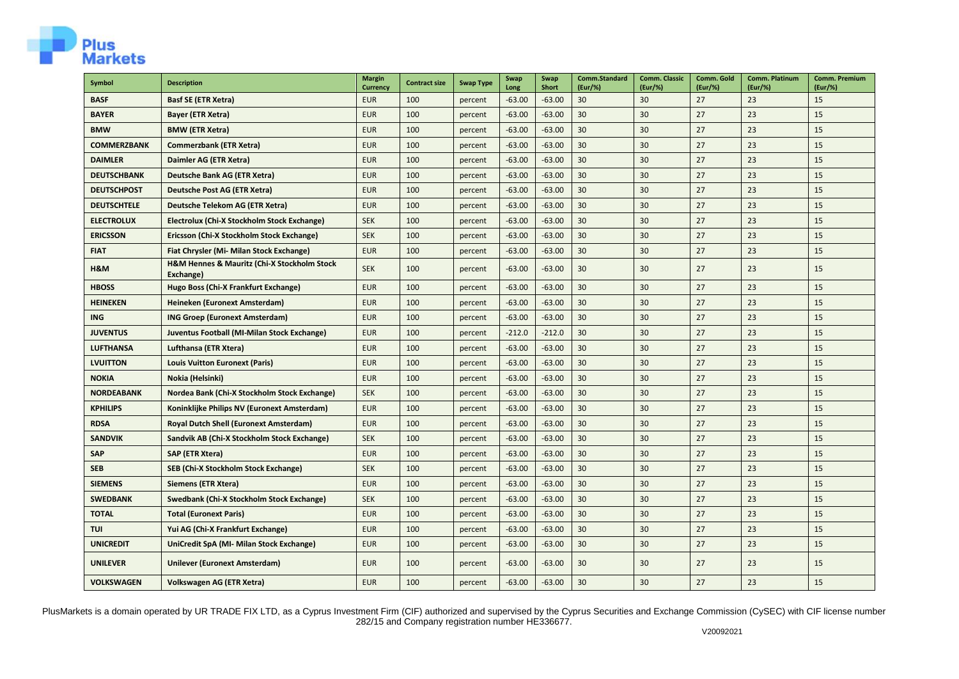

| <b>Symbol</b>      | <b>Description</b>                                       | <b>Margin</b><br><b>Currency</b> | <b>Contract size</b> | <b>Swap Type</b> | Swap<br>Long | Swap<br><b>Short</b> | Comm.Standard<br>(Eur/%) | <b>Comm. Classic</b><br>(Eur/%) | Comm. Gold<br>(Eur/%) | Comm. Platinum<br>(Eur/%) | <b>Comm. Premium</b><br>(Eur/%) |
|--------------------|----------------------------------------------------------|----------------------------------|----------------------|------------------|--------------|----------------------|--------------------------|---------------------------------|-----------------------|---------------------------|---------------------------------|
| <b>BASF</b>        | <b>Basf SE (ETR Xetra)</b>                               | <b>EUR</b>                       | 100                  | percent          | $-63.00$     | $-63.00$             | 30                       | 30                              | 27                    | 23                        | 15                              |
| <b>BAYER</b>       | <b>Bayer (ETR Xetra)</b>                                 | <b>EUR</b>                       | 100                  | percent          | $-63.00$     | $-63.00$             | 30                       | 30                              | 27                    | 23                        | 15                              |
| <b>BMW</b>         | <b>BMW (ETR Xetra)</b>                                   | <b>EUR</b>                       | 100                  | percent          | $-63.00$     | $-63.00$             | 30                       | 30                              | 27                    | 23                        | 15                              |
| <b>COMMERZBANK</b> | <b>Commerzbank (ETR Xetra)</b>                           | <b>EUR</b>                       | 100                  | percent          | $-63.00$     | $-63.00$             | 30                       | 30                              | 27                    | 23                        | 15                              |
| <b>DAIMLER</b>     | Daimler AG (ETR Xetra)                                   | <b>EUR</b>                       | 100                  | percent          | $-63.00$     | $-63.00$             | 30                       | 30                              | 27                    | 23                        | 15                              |
| <b>DEUTSCHBANK</b> | Deutsche Bank AG (ETR Xetra)                             | <b>EUR</b>                       | 100                  | percent          | $-63.00$     | $-63.00$             | 30                       | 30                              | 27                    | 23                        | 15                              |
| <b>DEUTSCHPOST</b> | Deutsche Post AG (ETR Xetra)                             | <b>EUR</b>                       | 100                  | percent          | $-63.00$     | $-63.00$             | 30                       | 30                              | 27                    | 23                        | 15                              |
| <b>DEUTSCHTELE</b> | Deutsche Telekom AG (ETR Xetra)                          | <b>EUR</b>                       | 100                  | percent          | $-63.00$     | $-63.00$             | 30                       | 30                              | 27                    | 23                        | 15                              |
| <b>ELECTROLUX</b>  | Electrolux (Chi-X Stockholm Stock Exchange)              | <b>SEK</b>                       | 100                  | percent          | $-63.00$     | $-63.00$             | 30                       | 30                              | 27                    | 23                        | 15                              |
| <b>ERICSSON</b>    | Ericsson (Chi-X Stockholm Stock Exchange)                | <b>SEK</b>                       | 100                  | percent          | $-63.00$     | $-63.00$             | 30                       | 30                              | 27                    | 23                        | 15                              |
| <b>FIAT</b>        | Fiat Chrysler (Mi- Milan Stock Exchange)                 | <b>EUR</b>                       | 100                  | percent          | $-63.00$     | $-63.00$             | 30                       | 30                              | 27                    | 23                        | 15                              |
| H&M                | H&M Hennes & Mauritz (Chi-X Stockholm Stock<br>Exchange) | <b>SEK</b>                       | 100                  | percent          | $-63.00$     | $-63.00$             | 30                       | 30                              | 27                    | 23                        | 15                              |
| <b>HBOSS</b>       | Hugo Boss (Chi-X Frankfurt Exchange)                     | <b>EUR</b>                       | 100                  | percent          | $-63.00$     | $-63.00$             | 30                       | 30                              | 27                    | 23                        | 15                              |
| <b>HEINEKEN</b>    | Heineken (Euronext Amsterdam)                            | <b>EUR</b>                       | 100                  | percent          | $-63.00$     | $-63.00$             | 30                       | 30                              | 27                    | 23                        | 15                              |
| <b>ING</b>         | <b>ING Groep (Euronext Amsterdam)</b>                    | <b>EUR</b>                       | 100                  | percent          | $-63.00$     | $-63.00$             | 30                       | 30                              | 27                    | 23                        | 15                              |
| <b>JUVENTUS</b>    | Juventus Football (MI-Milan Stock Exchange)              | <b>EUR</b>                       | 100                  | percent          | $-212.0$     | $-212.0$             | 30                       | 30                              | 27                    | 23                        | 15                              |
| <b>LUFTHANSA</b>   | Lufthansa (ETR Xtera)                                    | <b>EUR</b>                       | 100                  | percent          | $-63.00$     | $-63.00$             | 30                       | 30                              | 27                    | 23                        | 15                              |
| <b>LVUITTON</b>    | <b>Louis Vuitton Euronext (Paris)</b>                    | <b>EUR</b>                       | 100                  | percent          | $-63.00$     | $-63.00$             | 30                       | 30                              | 27                    | 23                        | 15                              |
| <b>NOKIA</b>       | Nokia (Helsinki)                                         | <b>EUR</b>                       | 100                  | percent          | $-63.00$     | $-63.00$             | 30                       | 30                              | 27                    | 23                        | 15                              |
| <b>NORDEABANK</b>  | Nordea Bank (Chi-X Stockholm Stock Exchange)             | <b>SEK</b>                       | 100                  | percent          | $-63.00$     | $-63.00$             | 30                       | 30                              | 27                    | 23                        | 15                              |
| <b>KPHILIPS</b>    | Koninklijke Philips NV (Euronext Amsterdam)              | <b>EUR</b>                       | 100                  | percent          | $-63.00$     | $-63.00$             | 30                       | 30                              | 27                    | 23                        | 15                              |
| <b>RDSA</b>        | <b>Royal Dutch Shell (Euronext Amsterdam)</b>            | <b>EUR</b>                       | 100                  | percent          | $-63.00$     | $-63.00$             | 30                       | 30                              | 27                    | 23                        | 15                              |
| <b>SANDVIK</b>     | Sandvik AB (Chi-X Stockholm Stock Exchange)              | <b>SEK</b>                       | 100                  | percent          | $-63.00$     | $-63.00$             | 30                       | 30                              | 27                    | 23                        | 15                              |
| SAP                | <b>SAP (ETR Xtera)</b>                                   | <b>EUR</b>                       | 100                  | percent          | $-63.00$     | $-63.00$             | 30                       | 30                              | 27                    | 23                        | 15                              |
| <b>SEB</b>         | SEB (Chi-X Stockholm Stock Exchange)                     | <b>SEK</b>                       | 100                  | percent          | $-63.00$     | $-63.00$             | 30                       | 30                              | 27                    | 23                        | 15                              |
| <b>SIEMENS</b>     | Siemens (ETR Xtera)                                      | <b>EUR</b>                       | 100                  | percent          | $-63.00$     | $-63.00$             | 30                       | 30                              | 27                    | 23                        | 15                              |
| <b>SWEDBANK</b>    | Swedbank (Chi-X Stockholm Stock Exchange)                | <b>SEK</b>                       | 100                  | percent          | $-63.00$     | $-63.00$             | 30                       | 30                              | 27                    | 23                        | 15                              |
| <b>TOTAL</b>       | <b>Total (Euronext Paris)</b>                            | <b>EUR</b>                       | 100                  | percent          | $-63.00$     | $-63.00$             | 30                       | 30                              | 27                    | 23                        | 15                              |
| <b>TUI</b>         | Yui AG (Chi-X Frankfurt Exchange)                        | <b>EUR</b>                       | 100                  | percent          | $-63.00$     | $-63.00$             | 30                       | 30                              | 27                    | 23                        | 15                              |
| <b>UNICREDIT</b>   | UniCredit SpA (MI- Milan Stock Exchange)                 | <b>EUR</b>                       | 100                  | percent          | $-63.00$     | $-63.00$             | 30                       | 30                              | 27                    | 23                        | 15                              |
| <b>UNILEVER</b>    | Unilever (Euronext Amsterdam)                            | <b>EUR</b>                       | 100                  | percent          | $-63.00$     | $-63.00$             | 30                       | 30                              | 27                    | 23                        | 15                              |
| <b>VOLKSWAGEN</b>  | Volkswagen AG (ETR Xetra)                                | <b>EUR</b>                       | 100                  | percent          | $-63.00$     | $-63.00$             | 30                       | 30                              | 27                    | 23                        | 15                              |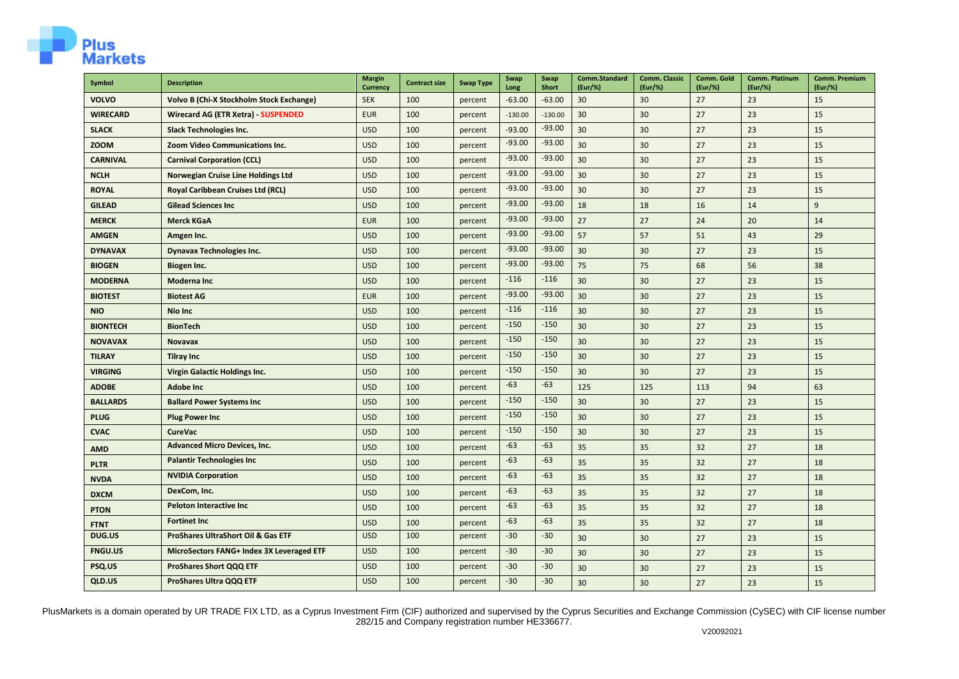

| Symbol          | <b>Description</b>                            | <b>Margin</b><br><b>Currency</b> | <b>Contract size</b> | <b>Swap Type</b> | Swap<br>Long | Swap<br><b>Short</b> | Comm.Standard<br>(Eur/%) | <b>Comm. Classic</b><br>(Eur/%) | Comm. Gold<br>(Eur/%) | Comm. Platinum<br>(Eur/%) | Comm. Premium<br>(Eur/%) |
|-----------------|-----------------------------------------------|----------------------------------|----------------------|------------------|--------------|----------------------|--------------------------|---------------------------------|-----------------------|---------------------------|--------------------------|
| <b>VOLVO</b>    | Volvo B (Chi-X Stockholm Stock Exchange)      | <b>SEK</b>                       | 100                  | percent          | $-63.00$     | $-63.00$             | 30                       | 30                              | 27                    | 23                        | 15                       |
| <b>WIRECARD</b> | Wirecard AG (ETR Xetra) - SUSPENDED           | <b>EUR</b>                       | 100                  | percent          | $-130.00$    | $-130.00$            | 30                       | 30                              | 27                    | 23                        | 15                       |
| <b>SLACK</b>    | <b>Slack Technologies Inc.</b>                | <b>USD</b>                       | 100                  | percent          | $-93.00$     | $-93.00$             | 30                       | 30                              | 27                    | 23                        | 15                       |
| <b>ZOOM</b>     | Zoom Video Communications Inc.                | <b>USD</b>                       | 100                  | percent          | $-93.00$     | $-93.00$             | 30                       | 30                              | 27                    | 23                        | 15                       |
| <b>CARNIVAL</b> | <b>Carnival Corporation (CCL)</b>             | <b>USD</b>                       | 100                  | percent          | $-93.00$     | $-93.00$             | 30                       | 30                              | 27                    | 23                        | 15                       |
| <b>NCLH</b>     | Norwegian Cruise Line Holdings Ltd            | <b>USD</b>                       | 100                  | percent          | $-93.00$     | $-93.00$             | 30                       | 30                              | 27                    | 23                        | 15                       |
| <b>ROYAL</b>    | Royal Caribbean Cruises Ltd (RCL)             | <b>USD</b>                       | 100                  | percent          | $-93.00$     | $-93.00$             | 30                       | 30                              | 27                    | 23                        | 15                       |
| <b>GILEAD</b>   | <b>Gilead Sciences Inc</b>                    | <b>USD</b>                       | 100                  | percent          | $-93.00$     | $-93.00$             | 18                       | 18                              | 16                    | 14                        | 9                        |
| <b>MERCK</b>    | <b>Merck KGaA</b>                             | <b>EUR</b>                       | 100                  | percent          | $-93.00$     | $-93.00$             | 27                       | 27                              | 24                    | 20                        | 14                       |
| <b>AMGEN</b>    | Amgen Inc.                                    | <b>USD</b>                       | 100                  | percent          | $-93.00$     | $-93.00$             | 57                       | 57                              | 51                    | 43                        | 29                       |
| <b>DYNAVAX</b>  | <b>Dynavax Technologies Inc.</b>              | <b>USD</b>                       | 100                  | percent          | $-93.00$     | $-93.00$             | 30                       | 30                              | 27                    | 23                        | 15                       |
| <b>BIOGEN</b>   | Biogen Inc.                                   | <b>USD</b>                       | 100                  | percent          | $-93.00$     | $-93.00$             | 75                       | 75                              | 68                    | 56                        | 38                       |
| <b>MODERNA</b>  | <b>Moderna Inc.</b>                           | <b>USD</b>                       | 100                  | percent          | $-116$       | $-116$               | 30                       | 30                              | 27                    | 23                        | 15                       |
| <b>BIOTEST</b>  | <b>Biotest AG</b>                             | <b>EUR</b>                       | 100                  | percent          | $-93.00$     | $-93.00$             | 30                       | 30                              | 27                    | 23                        | 15                       |
| <b>NIO</b>      | Nio Inc                                       | <b>USD</b>                       | 100                  | percent          | $-116$       | $-116$               | 30                       | 30                              | 27                    | 23                        | 15                       |
| <b>BIONTECH</b> | <b>BionTech</b>                               | <b>USD</b>                       | 100                  | percent          | $-150$       | $-150$               | 30                       | 30                              | 27                    | 23                        | 15                       |
| <b>NOVAVAX</b>  | <b>Novavax</b>                                | <b>USD</b>                       | 100                  | percent          | $-150$       | $-150$               | 30                       | 30                              | 27                    | 23                        | 15                       |
| <b>TILRAY</b>   | <b>Tilray Inc</b>                             | <b>USD</b>                       | 100                  | percent          | $-150$       | $-150$               | 30                       | 30                              | 27                    | 23                        | 15                       |
| <b>VIRGING</b>  | <b>Virgin Galactic Holdings Inc.</b>          | <b>USD</b>                       | 100                  | percent          | $-150$       | $-150$               | 30                       | 30                              | 27                    | 23                        | 15                       |
| <b>ADOBE</b>    | <b>Adobe Inc</b>                              | <b>USD</b>                       | 100                  | percent          | $-63$        | $-63$                | 125                      | 125                             | 113                   | 94                        | 63                       |
| <b>BALLARDS</b> | <b>Ballard Power Systems Inc</b>              | <b>USD</b>                       | 100                  | percent          | $-150$       | $-150$               | 30                       | 30                              | 27                    | 23                        | 15                       |
| <b>PLUG</b>     | <b>Plug Power Inc</b>                         | <b>USD</b>                       | 100                  | percent          | $-150$       | $-150$               | 30                       | 30                              | 27                    | 23                        | 15                       |
| <b>CVAC</b>     | <b>CureVac</b>                                | <b>USD</b>                       | 100                  | percent          | $-150$       | $-150$               | 30                       | 30                              | 27                    | 23                        | 15                       |
| <b>AMD</b>      | <b>Advanced Micro Devices, Inc.</b>           | <b>USD</b>                       | 100                  | percent          | $-63$        | $-63$                | 35                       | 35                              | 32                    | 27                        | 18                       |
| <b>PLTR</b>     | <b>Palantir Technologies Inc</b>              | <b>USD</b>                       | 100                  | percent          | $-63$        | $-63$                | 35                       | 35                              | 32                    | 27                        | 18                       |
| <b>NVDA</b>     | <b>NVIDIA Corporation</b>                     | <b>USD</b>                       | 100                  | percent          | $-63$        | $-63$                | 35                       | 35                              | 32                    | 27                        | 18                       |
| <b>DXCM</b>     | DexCom, Inc.                                  | <b>USD</b>                       | 100                  | percent          | $-63$        | $-63$                | 35                       | 35                              | 32                    | 27                        | 18                       |
| <b>PTON</b>     | <b>Peloton Interactive Inc.</b>               | <b>USD</b>                       | 100                  | percent          | $-63$        | $-63$                | 35                       | 35                              | 32                    | 27                        | 18                       |
| <b>FTNT</b>     | <b>Fortinet Inc</b>                           | <b>USD</b>                       | 100                  | percent          | $-63$        | $-63$                | 35                       | 35                              | 32                    | 27                        | 18                       |
| DUG.US          | <b>ProShares UltraShort Oil &amp; Gas ETF</b> | <b>USD</b>                       | 100                  | percent          | $-30$        | $-30$                | 30                       | 30                              | 27                    | 23                        | 15                       |
| <b>FNGU.US</b>  | MicroSectors FANG+ Index 3X Leveraged ETF     | <b>USD</b>                       | 100                  | percent          | $-30$        | $-30$                | 30                       | 30                              | 27                    | 23                        | 15                       |
| PSQ.US          | <b>ProShares Short QQQ ETF</b>                | <b>USD</b>                       | 100                  | percent          | $-30$        | $-30$                | 30                       | 30                              | 27                    | 23                        | 15                       |
| QLD.US          | <b>ProShares Ultra QQQ ETF</b>                | <b>USD</b>                       | 100                  | percent          | $-30$        | $-30$                | 30                       | 30 <sup>2</sup>                 | 27                    | 23                        | 15                       |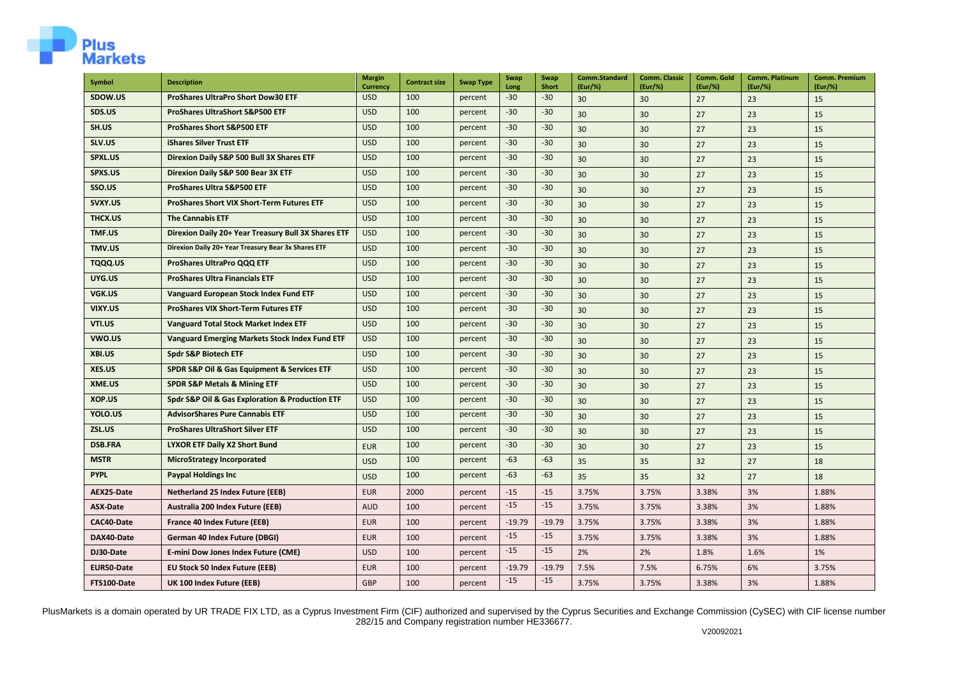

| Symbol          | <b>Description</b>                                    | <b>Margin</b><br><b>Currency</b> | <b>Contract size</b> | <b>Swap Type</b> | Swap<br>Long | Swap<br><b>Short</b> | Comm.Standard<br>(Eur/%) | <b>Comm. Classic</b><br>(Eur/%) | Comm. Gold<br>(Eur/%) | <b>Comm. Platinum</b><br>(Eur/%) | <b>Comm. Premium</b><br>(Eur/%) |
|-----------------|-------------------------------------------------------|----------------------------------|----------------------|------------------|--------------|----------------------|--------------------------|---------------------------------|-----------------------|----------------------------------|---------------------------------|
| SDOW.US         | ProShares UltraPro Short Dow30 ETF                    | <b>USD</b>                       | 100                  | percent          | $-30$        | $-30$                | 30                       | 30                              | 27                    | 23                               | 15                              |
| SDS.US          | <b>ProShares UltraShort S&amp;P500 ETF</b>            | <b>USD</b>                       | 100                  | percent          | $-30$        | $-30$                | 30 <sup>2</sup>          | 30                              | 27                    | 23                               | 15                              |
| SH.US           | <b>ProShares Short S&amp;P500 ETF</b>                 | <b>USD</b>                       | 100                  | percent          | $-30$        | $-30$                | 30                       | 30                              | 27                    | 23                               | 15                              |
| SLV.US          | <b>iShares Silver Trust ETF</b>                       | <b>USD</b>                       | 100                  | percent          | $-30$        | $-30$                | 30                       | 30                              | 27                    | 23                               | 15                              |
| SPXL.US         | Direxion Daily S&P 500 Bull 3X Shares ETF             | <b>USD</b>                       | 100                  | percent          | $-30$        | $-30$                | 30                       | 30                              | 27                    | 23                               | 15                              |
| SPXS.US         | Direxion Daily S&P 500 Bear 3X ETF                    | <b>USD</b>                       | 100                  | percent          | $-30$        | $-30$                | 30                       | 30                              | 27                    | 23                               | 15                              |
| SSO.US          | <b>ProShares Ultra S&amp;P500 ETF</b>                 | <b>USD</b>                       | 100                  | percent          | $-30$        | $-30$                | 30                       | 30                              | 27                    | 23                               | 15                              |
| SVXY.US         | <b>ProShares Short VIX Short-Term Futures ETF</b>     | <b>USD</b>                       | 100                  | percent          | $-30$        | $-30$                | 30                       | 30                              | 27                    | 23                               | 15                              |
| THCX.US         | <b>The Cannabis ETF</b>                               | <b>USD</b>                       | 100                  | percent          | $-30$        | $-30$                | 30                       | 30                              | 27                    | 23                               | 15                              |
| TMF.US          | Direxion Daily 20+ Year Treasury Bull 3X Shares ETF   | <b>USD</b>                       | 100                  | percent          | $-30$        | $-30$                | 30                       | 30                              | 27                    | 23                               | 15                              |
| TMV.US          | Direxion Daily 20+ Year Treasury Bear 3x Shares ETF   | <b>USD</b>                       | 100                  | percent          | $-30$        | $-30$                | 30                       | 30                              | 27                    | 23                               | 15                              |
| TQQQ.US         | <b>ProShares UltraPro QQQ ETF</b>                     | <b>USD</b>                       | 100                  | percent          | $-30$        | $-30$                | 30                       | 30                              | 27                    | 23                               | 15                              |
| UYG.US          | <b>ProShares Ultra Financials ETF</b>                 | <b>USD</b>                       | 100                  | percent          | $-30$        | $-30$                | 30                       | 30                              | 27                    | 23                               | 15                              |
| VGK.US          | Vanguard European Stock Index Fund ETF                | <b>USD</b>                       | 100                  | percent          | $-30$        | $-30$                | 30                       | 30                              | 27                    | 23                               | 15                              |
| VIXY.US         | <b>ProShares VIX Short-Term Futures ETF</b>           | <b>USD</b>                       | 100                  | percent          | $-30$        | $-30$                | 30                       | 30 <sup>2</sup>                 | 27                    | 23                               | 15                              |
| VTI.US          | <b>Vanguard Total Stock Market Index ETF</b>          | <b>USD</b>                       | 100                  | percent          | $-30$        | $-30$                | 30                       | 30                              | 27                    | 23                               | 15                              |
| VWO.US          | <b>Vanguard Emerging Markets Stock Index Fund ETF</b> | <b>USD</b>                       | 100                  | percent          | $-30$        | $-30$                | 30                       | 30                              | 27                    | 23                               | 15                              |
| XBI.US          | <b>Spdr S&amp;P Biotech ETF</b>                       | <b>USD</b>                       | 100                  | percent          | $-30$        | $-30$                | 30                       | 30                              | 27                    | 23                               | 15                              |
| XES.US          | SPDR S&P Oil & Gas Equipment & Services ETF           | <b>USD</b>                       | 100                  | percent          | $-30$        | $-30$                | 30                       | 30                              | 27                    | 23                               | 15                              |
| XME.US          | <b>SPDR S&amp;P Metals &amp; Mining ETF</b>           | <b>USD</b>                       | 100                  | percent          | $-30$        | $-30$                | 30                       | 30                              | 27                    | 23                               | 15                              |
| XOP.US          | Spdr S&P Oil & Gas Exploration & Production ETF       | <b>USD</b>                       | 100                  | percent          | $-30$        | $-30$                | 30                       | 30                              | 27                    | 23                               | 15                              |
| YOLO.US         | <b>AdvisorShares Pure Cannabis ETF</b>                | <b>USD</b>                       | 100                  | percent          | $-30$        | $-30$                | 30                       | 30                              | 27                    | 23                               | 15                              |
| ZSL.US          | <b>ProShares UltraShort Silver ETF</b>                | <b>USD</b>                       | 100                  | percent          | $-30$        | $-30$                | 30                       | 30                              | 27                    | 23                               | 15                              |
| <b>DSB.FRA</b>  | <b>LYXOR ETF Daily X2 Short Bund</b>                  | <b>EUR</b>                       | 100                  | percent          | $-30$        | $-30$                | 30                       | 30                              | 27                    | 23                               | 15                              |
| <b>MSTR</b>     | <b>MicroStrategy Incorporated</b>                     | <b>USD</b>                       | 100                  | percent          | $-63$        | $-63$                | 35                       | 35                              | 32                    | 27                               | 18                              |
| <b>PYPL</b>     | <b>Paypal Holdings Inc.</b>                           | <b>USD</b>                       | 100                  | percent          | $-63$        | $-63$                | 35                       | 35                              | 32                    | 27                               | 18                              |
| AEX25-Date      | <b>Netherland 25 Index Future (EEB)</b>               | <b>EUR</b>                       | 2000                 | percent          | $-15$        | $-15$                | 3.75%                    | 3.75%                           | 3.38%                 | 3%                               | 1.88%                           |
| <b>ASX-Date</b> | Australia 200 Index Future (EEB)                      | <b>AUD</b>                       | 100                  | percent          | $-15$        | $-15$                | 3.75%                    | 3.75%                           | 3.38%                 | 3%                               | 1.88%                           |
| CAC40-Date      | France 40 Index Future (EEB)                          | <b>EUR</b>                       | 100                  | percent          | $-19.79$     | $-19.79$             | 3.75%                    | 3.75%                           | 3.38%                 | 3%                               | 1.88%                           |
| DAX40-Date      | German 40 Index Future (DBGI)                         | <b>EUR</b>                       | 100                  | percent          | $-15$        | $-15$                | 3.75%                    | 3.75%                           | 3.38%                 | 3%                               | 1.88%                           |
| DJ30-Date       | E-mini Dow Jones Index Future (CME)                   | <b>USD</b>                       | 100                  | percent          | $-15$        | $-15$                | 2%                       | 2%                              | 1.8%                  | 1.6%                             | 1%                              |
| EUR50-Date      | <b>EU Stock 50 Index Future (EEB)</b>                 | <b>EUR</b>                       | 100                  | percent          | $-19.79$     | $-19.79$             | 7.5%                     | 7.5%                            | 6.75%                 | 6%                               | 3.75%                           |
| FTS100-Date     | UK 100 Index Future (EEB)                             | GBP                              | 100                  | percent          | $-15$        | $-15$                | 3.75%                    | 3.75%                           | 3.38%                 | 3%                               | 1.88%                           |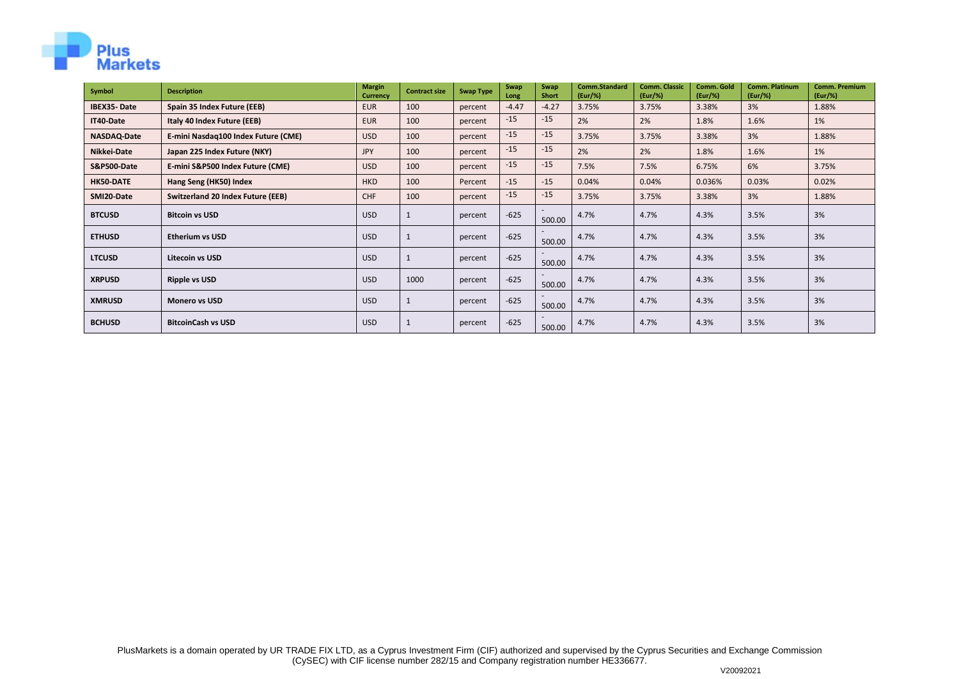

| Symbol             | <b>Description</b>                       | <b>Margin</b><br><b>Currency</b> | <b>Contract size</b> | <b>Swap Type</b> | Swap<br>Long | Swap<br><b>Short</b> | Comm.Standard<br>(Eur/%) | <b>Comm. Classic</b><br>(Eur/%) | Comm. Gold<br>(Eur/%) | <b>Comm. Platinum</b><br>(Eur/%) | <b>Comm. Premium</b><br>(Eur/%) |
|--------------------|------------------------------------------|----------------------------------|----------------------|------------------|--------------|----------------------|--------------------------|---------------------------------|-----------------------|----------------------------------|---------------------------------|
| <b>IBEX35-Date</b> | Spain 35 Index Future (EEB)              | <b>EUR</b>                       | 100                  | percent          | $-4.47$      | $-4.27$              | 3.75%                    | 3.75%                           | 3.38%                 | 3%                               | 1.88%                           |
| IT40-Date          | Italy 40 Index Future (EEB)              | <b>EUR</b>                       | 100                  | percent          | $-15$        | $-15$                | 2%                       | 2%                              | 1.8%                  | 1.6%                             | 1%                              |
| NASDAQ-Date        | E-mini Nasdag100 Index Future (CME)      | <b>USD</b>                       | 100                  | percent          | $-15$        | $-15$                | 3.75%                    | 3.75%                           | 3.38%                 | 3%                               | 1.88%                           |
| Nikkei-Date        | Japan 225 Index Future (NKY)             | <b>JPY</b>                       | 100                  | percent          | $-15$        | $-15$                | 2%                       | 2%                              | 1.8%                  | 1.6%                             | 1%                              |
| S&P500-Date        | E-mini S&P500 Index Future (CME)         | <b>USD</b>                       | 100                  | percent          | $-15$        | $-15$                | 7.5%                     | 7.5%                            | 6.75%                 | 6%                               | 3.75%                           |
| HK50-DATE          | Hang Seng (HK50) Index                   | <b>HKD</b>                       | 100                  | Percent          | $-15$        | $-15$                | 0.04%                    | 0.04%                           | 0.036%                | 0.03%                            | 0.02%                           |
| SMI20-Date         | <b>Switzerland 20 Index Future (EEB)</b> | CHF                              | 100                  | percent          | $-15$        | $-15$                | 3.75%                    | 3.75%                           | 3.38%                 | 3%                               | 1.88%                           |
| <b>BTCUSD</b>      | <b>Bitcoin vs USD</b>                    | USD                              |                      | percent          | $-625$       | 500.00               | 4.7%                     | 4.7%                            | 4.3%                  | 3.5%                             | 3%                              |
| <b>ETHUSD</b>      | <b>Etherium vs USD</b>                   | <b>USD</b>                       |                      | percent          | $-625$       | 500.00               | 4.7%                     | 4.7%                            | 4.3%                  | 3.5%                             | 3%                              |
| <b>LTCUSD</b>      | <b>Litecoin vs USD</b>                   | <b>USD</b>                       |                      | percent          | $-625$       | 500.00               | 4.7%                     | 4.7%                            | 4.3%                  | 3.5%                             | 3%                              |
| <b>XRPUSD</b>      | <b>Ripple vs USD</b>                     | <b>USD</b>                       | 1000                 | percent          | $-625$       | 500.00               | 4.7%                     | 4.7%                            | 4.3%                  | 3.5%                             | 3%                              |
| <b>XMRUSD</b>      | <b>Monero vs USD</b>                     | USD                              |                      | percent          | $-625$       | 500.00               | 4.7%                     | 4.7%                            | 4.3%                  | 3.5%                             | 3%                              |
| <b>BCHUSD</b>      | <b>BitcoinCash vs USD</b>                | USD                              |                      | percent          | $-625$       | 500.00               | 4.7%                     | 4.7%                            | 4.3%                  | 3.5%                             | 3%                              |